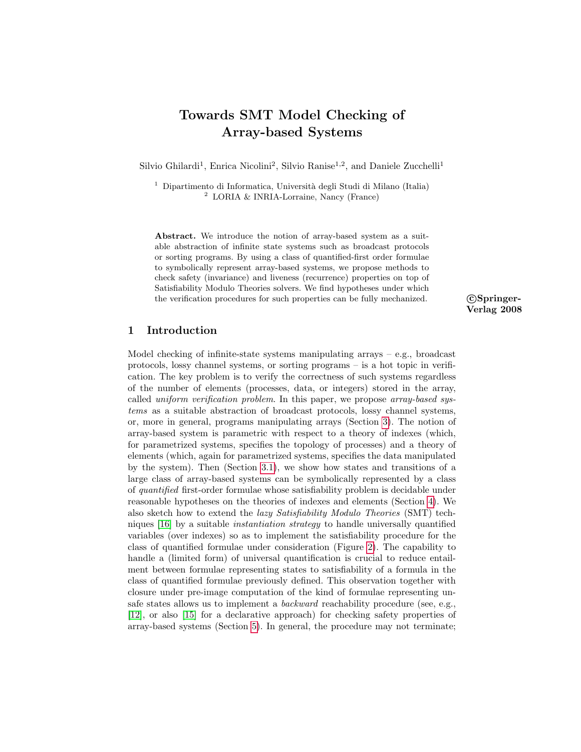# Towards SMT Model Checking of Array-based Systems

Silvio Ghilardi<sup>1</sup>, Enrica Nicolini<sup>2</sup>, Silvio Ranise<sup>1,2</sup>, and Daniele Zucchelli<sup>1</sup>

<sup>1</sup> Dipartimento di Informatica, Università degli Studi di Milano (Italia) <sup>2</sup> LORIA & INRIA-Lorraine, Nancy (France)

Abstract. We introduce the notion of array-based system as a suitable abstraction of infinite state systems such as broadcast protocols or sorting programs. By using a class of quantified-first order formulae to symbolically represent array-based systems, we propose methods to check safety (invariance) and liveness (recurrence) properties on top of Satisfiability Modulo Theories solvers. We find hypotheses under which the verification procedures for such properties can be fully mechanized. CSpringer-

Verlag 2008

### 1 Introduction

Model checking of infinite-state systems manipulating arrays  $-$  e.g., broadcast protocols, lossy channel systems, or sorting programs – is a hot topic in verification. The key problem is to verify the correctness of such systems regardless of the number of elements (processes, data, or integers) stored in the array, called *uniform verification problem*. In this paper, we propose *array-based sys*tems as a suitable abstraction of broadcast protocols, lossy channel systems, or, more in general, programs manipulating arrays (Section [3\)](#page-2-0). The notion of array-based system is parametric with respect to a theory of indexes (which, for parametrized systems, specifies the topology of processes) and a theory of elements (which, again for parametrized systems, specifies the data manipulated by the system). Then (Section [3.1\)](#page-4-0), we show how states and transitions of a large class of array-based systems can be symbolically represented by a class of quantified first-order formulae whose satisfiability problem is decidable under reasonable hypotheses on the theories of indexes and elements (Section [4\)](#page-7-0). We also sketch how to extend the lazy Satisfiability Modulo Theories (SMT) techniques [\[16\]](#page-15-0) by a suitable instantiation strategy to handle universally quantified variables (over indexes) so as to implement the satisfiability procedure for the class of quantified formulae under consideration (Figure [2\)](#page-8-0). The capability to handle a (limited form) of universal quantification is crucial to reduce entailment between formulae representing states to satisfiability of a formula in the class of quantified formulae previously defined. This observation together with closure under pre-image computation of the kind of formulae representing unsafe states allows us to implement a backward reachability procedure (see, e.g., [\[12\]](#page-15-1), or also [\[15\]](#page-15-2) for a declarative approach) for checking safety properties of array-based systems (Section [5\)](#page-9-0). In general, the procedure may not terminate;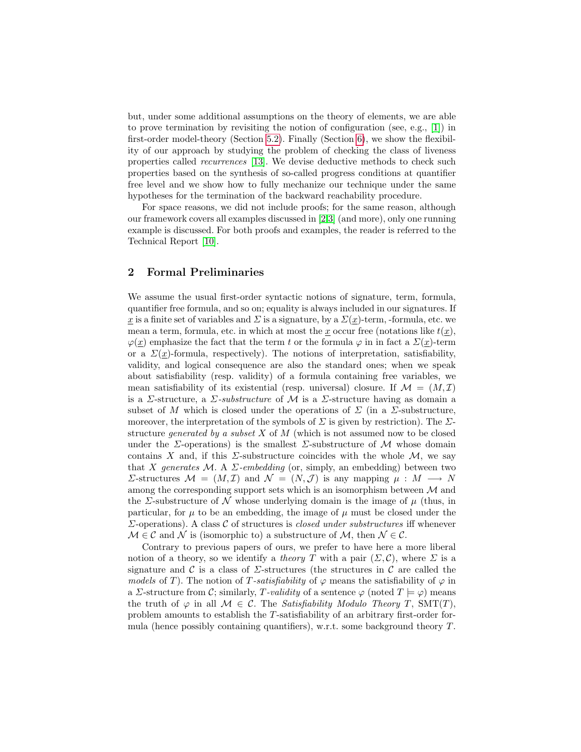but, under some additional assumptions on the theory of elements, we are able to prove termination by revisiting the notion of configuration (see, e.g.,  $[1]$ ) in first-order model-theory (Section [5.2\)](#page-11-0). Finally (Section [6\)](#page-12-0), we show the flexibility of our approach by studying the problem of checking the class of liveness properties called recurrences [\[13\]](#page-15-4). We devise deductive methods to check such properties based on the synthesis of so-called progress conditions at quantifier free level and we show how to fully mechanize our technique under the same hypotheses for the termination of the backward reachability procedure.

For space reasons, we did not include proofs; for the same reason, although our framework covers all examples discussed in [\[2,](#page-15-5)[3\]](#page-15-6) (and more), only one running example is discussed. For both proofs and examples, the reader is referred to the Technical Report [\[10\]](#page-15-7).

### 2 Formal Preliminaries

We assume the usual first-order syntactic notions of signature, term, formula, quantifier free formula, and so on; equality is always included in our signatures. If x is a finite set of variables and  $\Sigma$  is a signature, by a  $\Sigma(x)$ -term, -formula, etc. we mean a term, formula, etc. in which at most the x occur free (notations like  $t(x)$ ,  $\varphi(x)$  emphasize the fact that the term t or the formula  $\varphi$  in in fact a  $\Sigma(x)$ -term or a  $\Sigma(\underline{x})$ -formula, respectively). The notions of interpretation, satisfiability, validity, and logical consequence are also the standard ones; when we speak about satisfiability (resp. validity) of a formula containing free variables, we mean satisfiability of its existential (resp. universal) closure. If  $\mathcal{M} = (M, \mathcal{I})$ is a  $\Sigma$ -structure, a  $\Sigma$ -substructure of M is a  $\Sigma$ -structure having as domain a subset of M which is closed under the operations of  $\Sigma$  (in a  $\Sigma$ -substructure, moreover, the interpretation of the symbols of  $\Sigma$  is given by restriction). The  $\Sigma$ structure generated by a subset  $X$  of  $M$  (which is not assumed now to be closed under the  $\Sigma$ -operations) is the smallest  $\Sigma$ -substructure of  $\mathcal M$  whose domain contains X and, if this  $\Sigma$ -substructure coincides with the whole M, we say that X generates M. A  $\Sigma$ -embedding (or, simply, an embedding) between two  $\Sigma$ -structures  $\mathcal{M} = (M, \mathcal{I})$  and  $\mathcal{N} = (N, \mathcal{J})$  is any mapping  $\mu : M \longrightarrow N$ among the corresponding support sets which is an isomorphism between  $\mathcal M$  and the *Σ*-substructure of N whose underlying domain is the image of  $\mu$  (thus, in particular, for  $\mu$  to be an embedding, the image of  $\mu$  must be closed under the  $\Sigma$ -operations). A class C of structures is *closed under substructures* iff whenever  $\mathcal{M} \in \mathcal{C}$  and  $\mathcal{N}$  is (isomorphic to) a substructure of  $\mathcal{M}$ , then  $\mathcal{N} \in \mathcal{C}$ .

Contrary to previous papers of ours, we prefer to have here a more liberal notion of a theory, so we identify a *theory* T with a pair  $(\Sigma, \mathcal{C})$ , where  $\Sigma$  is a signature and C is a class of  $\Sigma$ -structures (the structures in C are called the models of T). The notion of T-satisfiability of  $\varphi$  means the satisfiability of  $\varphi$  in a *Σ*-structure from *C*; similarly, *T*-validity of a sentence  $\varphi$  (noted  $T \models \varphi$ ) means the truth of  $\varphi$  in all  $\mathcal{M} \in \mathcal{C}$ . The Satisfiability Modulo Theory T, SMT(T), problem amounts to establish the T-satisfiability of an arbitrary first-order formula (hence possibly containing quantifiers), w.r.t. some background theory T.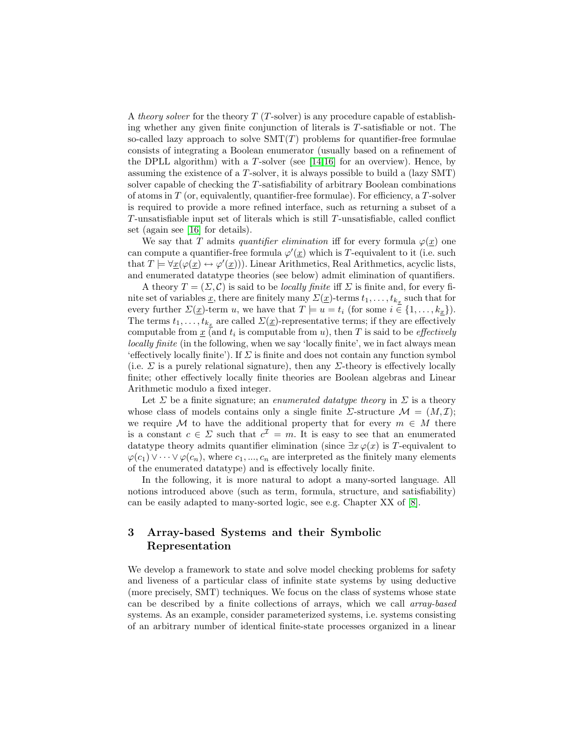A theory solver for the theory  $T(T\text{-solver})$  is any procedure capable of establishing whether any given finite conjunction of literals is T-satisfiable or not. The so-called lazy approach to solve  $SMT(T)$  problems for quantifier-free formulae consists of integrating a Boolean enumerator (usually based on a refinement of the DPLL algorithm) with a  $T$ -solver (see [\[14](#page-15-8)[,16\]](#page-15-0) for an overview). Hence, by assuming the existence of a T-solver, it is always possible to build a (lazy SMT) solver capable of checking the T-satisfiability of arbitrary Boolean combinations of atoms in  $T$  (or, equivalently, quantifier-free formulae). For efficiency, a  $T$ -solver is required to provide a more refined interface, such as returning a subset of a T-unsatisfiable input set of literals which is still T-unsatisfiable, called conflict set (again see [\[16\]](#page-15-0) for details).

We say that T admits quantifier elimination iff for every formula  $\varphi(x)$  one can compute a quantifier-free formula  $\varphi'(\underline{x})$  which is T-equivalent to it (i.e. such that  $T \models \forall \underline{x}(\varphi(\underline{x}) \leftrightarrow \varphi'(\underline{x})))$ . Linear Arithmetics, Real Arithmetics, acyclic lists, and enumerated datatype theories (see below) admit elimination of quantifiers.

A theory  $T = (\Sigma, C)$  is said to be *locally finite* iff  $\Sigma$  is finite and, for every finite set of variables <u>x</u>, there are finitely many  $\Sigma(\underline{x})$ -terms  $t_1, \ldots, t_{k_x}$  such that for every further  $\Sigma(\underline{x})$ -term u, we have that  $T \models u = t_i$  (for some  $i \in \{1, ..., k_{\underline{x}}\}$ ). The terms  $t_1, \ldots, t_{k_x}$  are called  $\Sigma(\underline{x})$ -representative terms; if they are effectively computable from  $\underline{x}$  (and  $t_i$  is computable from u), then T is said to be *effectively* locally finite (in the following, when we say 'locally finite', we in fact always mean 'effectively locally finite'). If  $\Sigma$  is finite and does not contain any function symbol (i.e.  $\Sigma$  is a purely relational signature), then any  $\Sigma$ -theory is effectively locally finite; other effectively locally finite theories are Boolean algebras and Linear Arithmetic modulo a fixed integer.

Let  $\Sigma$  be a finite signature; an *enumerated datatype theory* in  $\Sigma$  is a theory whose class of models contains only a single finite  $\Sigma$ -structure  $\mathcal{M} = (M, \mathcal{I});$ we require M to have the additional property that for every  $m \in M$  there is a constant  $c \in \Sigma$  such that  $c^{\mathcal{I}} = m$ . It is easy to see that an enumerated datatype theory admits quantifier elimination (since  $\exists x \varphi(x)$  is T-equivalent to  $\varphi(c_1) \vee \cdots \vee \varphi(c_n)$ , where  $c_1, ..., c_n$  are interpreted as the finitely many elements of the enumerated datatype) and is effectively locally finite.

In the following, it is more natural to adopt a many-sorted language. All notions introduced above (such as term, formula, structure, and satisfiability) can be easily adapted to many-sorted logic, see e.g. Chapter XX of [\[8\]](#page-15-9).

# <span id="page-2-0"></span>3 Array-based Systems and their Symbolic Representation

We develop a framework to state and solve model checking problems for safety and liveness of a particular class of infinite state systems by using deductive (more precisely, SMT) techniques. We focus on the class of systems whose state can be described by a finite collections of arrays, which we call array-based systems. As an example, consider parameterized systems, i.e. systems consisting of an arbitrary number of identical finite-state processes organized in a linear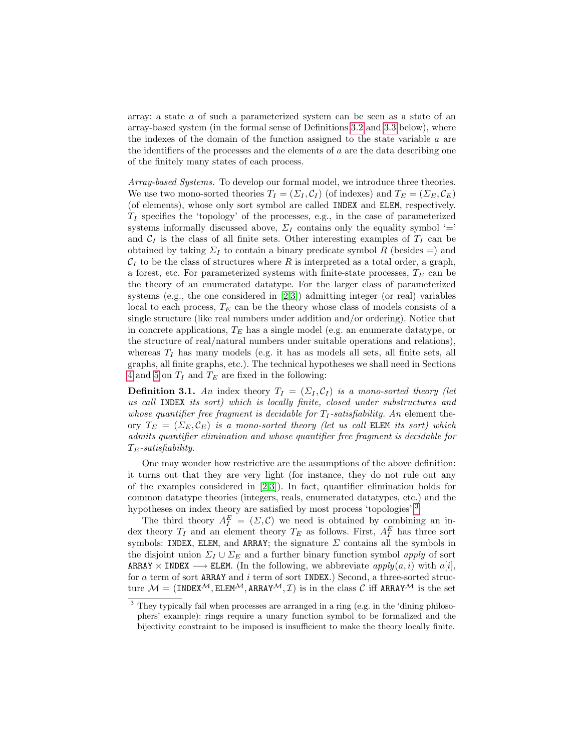array: a state a of such a parameterized system can be seen as a state of an array-based system (in the formal sense of Definitions [3.2](#page-4-1) and [3.3](#page-4-2) below), where the indexes of the domain of the function assigned to the state variable a are the identifiers of the processes and the elements of a are the data describing one of the finitely many states of each process.

Array-based Systems. To develop our formal model, we introduce three theories. We use two mono-sorted theories  $T_I = (\Sigma_I, \mathcal{C}_I)$  (of indexes) and  $T_E = (\Sigma_E, \mathcal{C}_E)$ (of elements), whose only sort symbol are called INDEX and ELEM, respectively.  $T_I$  specifies the 'topology' of the processes, e.g., in the case of parameterized systems informally discussed above,  $\Sigma_I$  contains only the equality symbol '=' and  $C_I$  is the class of all finite sets. Other interesting examples of  $T_I$  can be obtained by taking  $\Sigma_I$  to contain a binary predicate symbol R (besides =) and  $\mathcal{C}_I$  to be the class of structures where R is interpreted as a total order, a graph, a forest, etc. For parameterized systems with finite-state processes,  $T_E$  can be the theory of an enumerated datatype. For the larger class of parameterized systems (e.g., the one considered in [\[2,](#page-15-5)[3\]](#page-15-6)) admitting integer (or real) variables local to each process,  $T_E$  can be the theory whose class of models consists of a single structure (like real numbers under addition and/or ordering). Notice that in concrete applications,  $T_E$  has a single model (e.g. an enumerate datatype, or the structure of real/natural numbers under suitable operations and relations), whereas  $T_I$  has many models (e.g. it has as models all sets, all finite sets, all graphs, all finite graphs, etc.). The technical hypotheses we shall need in Sections [4](#page-7-0) and [5](#page-9-0) on  $T_I$  and  $T_E$  are fixed in the following:

**Definition 3.1.** An index theory  $T_I = (\Sigma_I, \mathcal{C}_I)$  is a mono-sorted theory (let us call INDEX its sort) which is locally finite, closed under substructures and whose quantifier free fragment is decidable for  $T_I$ -satisfiability. An element theory  $T_E = (\Sigma_E, \mathcal{C}_E)$  is a mono-sorted theory (let us call ELEM its sort) which admits quantifier elimination and whose quantifier free fragment is decidable for  $T_E$ -satisfiability.

One may wonder how restrictive are the assumptions of the above definition: it turns out that they are very light (for instance, they do not rule out any of the examples considered in [\[2,](#page-15-5)[3\]](#page-15-6)). In fact, quantifier elimination holds for common datatype theories (integers, reals, enumerated datatypes, etc.) and the hypotheses on index theory are satisfied by most process 'topologies'.<sup>[3](#page-3-0)</sup>

The third theory  $A_I^E = (\Sigma, C)$  we need is obtained by combining an index theory  $T_I$  and an element theory  $T_E$  as follows. First,  $A_I^E$  has three sort symbols: INDEX, ELEM, and ARRAY; the signature  $\Sigma$  contains all the symbols in the disjoint union  $\Sigma_I \cup \Sigma_E$  and a further binary function symbol apply of sort ARRAY × INDEX  $\longrightarrow$  ELEM. (In the following, we abbreviate  $apply(a, i)$  with  $a[i]$ , for  $a$  term of sort ARRAY and  $i$  term of sort INDEX.) Second, a three-sorted structure  $\mathcal{M} = (\text{INDEX}^{\mathcal{M}}, \text{ELEM}^{\mathcal{M}}, \text{ARRAY}^{\mathcal{M}}, \mathcal{I})$  is in the class  $\mathcal{C}$  iff ARRAY<sup>M</sup> is the set

<span id="page-3-0"></span><sup>&</sup>lt;sup>3</sup> They typically fail when processes are arranged in a ring (e.g. in the 'dining philosophers' example): rings require a unary function symbol to be formalized and the bijectivity constraint to be imposed is insufficient to make the theory locally finite.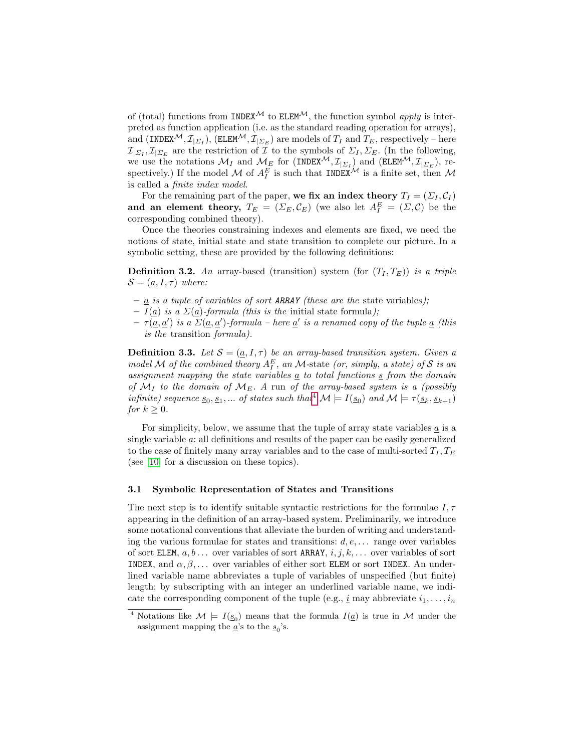of (total) functions from INDEX<sup>M</sup> to ELEM<sup>M</sup>, the function symbol *apply* is interpreted as function application (i.e. as the standard reading operation for arrays), and (INDEX<sup>M</sup>,  $\mathcal{I}_{|\Sigma_I}$ ), (ELEM<sup>M</sup>,  $\mathcal{I}_{|\Sigma_E}$ ) are models of  $T_I$  and  $T_E$ , respectively – here  $\mathcal{I}_{\vert \Sigma_I}, \mathcal{I}_{\vert \Sigma_E}$  are the restriction of  $\mathcal I$  to the symbols of  $\Sigma_I, \Sigma_E$ . (In the following, we use the notations  $\mathcal{M}_I$  and  $\mathcal{M}_E$  for  $(\text{INDEX}^{\mathcal{M}}, \mathcal{I}_{|\Sigma_I})$  and  $(\text{ELEM}^{\mathcal{M}}, \mathcal{I}_{|\Sigma_E})$ , respectively.) If the model  $\mathcal M$  of  $A_I^E$  is such that INDEX<sup> $\mathcal M$ </sup> is a finite set, then  $\mathcal M$ is called a finite index model.

For the remaining part of the paper, we fix an index theory  $T_I = (\Sigma_I, \mathcal{C}_I)$ and an element theory,  $T_E = (\Sigma_E, \mathcal{C}_E)$  (we also let  $A_I^E = (\Sigma, \mathcal{C})$  be the corresponding combined theory).

Once the theories constraining indexes and elements are fixed, we need the notions of state, initial state and state transition to complete our picture. In a symbolic setting, these are provided by the following definitions:

<span id="page-4-1"></span>**Definition 3.2.** An array-based (transition) system (for  $(T_I, T_E)$ ) is a triple  $\mathcal{S} = (\underline{a}, I, \tau)$  where:

- $\underline{a}$  is a tuple of variables of sort ARRAY (these are the state variables);
- $-I(a)$  is a  $\Sigma(a)$ -formula (this is the initial state formula);
- $\tau(\underline{a}, \underline{a}')$  is a  $\Sigma(\underline{a}, \underline{a}')$ -formula here  $\underline{a}'$  is a renamed copy of the tuple  $\underline{a}$  (this is the transition formula).

<span id="page-4-2"></span>**Definition 3.3.** Let  $S = (a, I, \tau)$  be an array-based transition system. Given a model M of the combined theory  $A_I^E$ , an M-state (or, simply, a state) of S is an assignment mapping the state variables  $\alpha$  to total functions  $\alpha$  from the domain of  $M_I$  to the domain of  $M_E$ . A run of the array-based system is a (possibly infinite) sequence  $s_0, s_1, \dots$  of states such that  $M \models I(s_0)$  and  $M \models \tau(s_k, s_{k+1})$ for  $k > 0$ .

For simplicity, below, we assume that the tuple of array state variables  $a$  is a single variable a: all definitions and results of the paper can be easily generalized to the case of finitely many array variables and to the case of multi-sorted  $T_I, T_E$ (see [\[10\]](#page-15-7) for a discussion on these topics).

#### <span id="page-4-0"></span>3.1 Symbolic Representation of States and Transitions

The next step is to identify suitable syntactic restrictions for the formulae  $I, \tau$ appearing in the definition of an array-based system. Preliminarily, we introduce some notational conventions that alleviate the burden of writing and understanding the various formulae for states and transitions:  $d, e, \ldots$  range over variables of sort ELEM,  $a, b \ldots$  over variables of sort ARRAY,  $i, j, k, \ldots$  over variables of sort INDEX, and  $\alpha, \beta, \ldots$  over variables of either sort ELEM or sort INDEX. An underlined variable name abbreviates a tuple of variables of unspecified (but finite) length; by subscripting with an integer an underlined variable name, we indicate the corresponding component of the tuple (e.g.,  $\underline{i}$  may abbreviate  $i_1, \ldots, i_n$ )

<span id="page-4-3"></span><sup>&</sup>lt;sup>4</sup> Notations like  $\mathcal{M} \models I(\underline{s_0})$  means that the formula  $I(\underline{a})$  is true in  $\mathcal{M}$  under the assignment mapping the  $\underline{a}$ 's to the  $\underline{s}_0$ 's.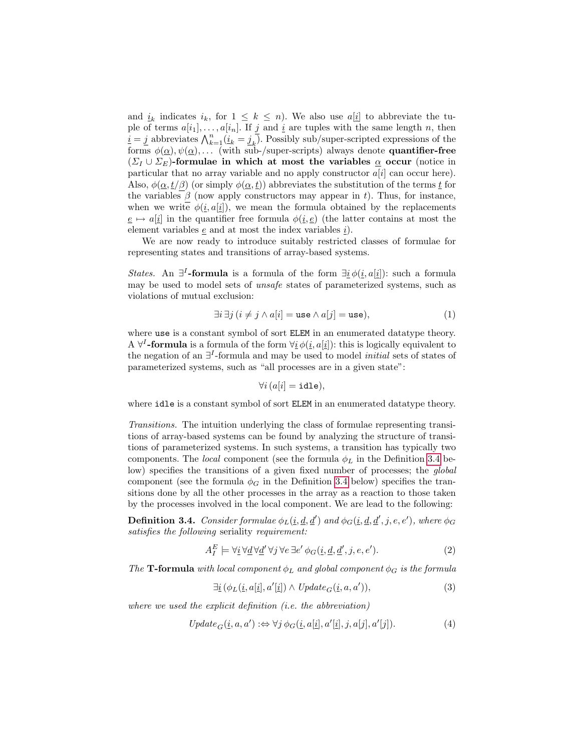and  $i_k$  indicates  $i_k$ , for  $1 \leq k \leq n$ ). We also use  $a[i]$  to abbreviate the tuple of terms  $a[i_1], \ldots, a[i_n]$ . If  $j$  and  $i$  are tuples with the same length n, then  $\frac{i}{k} = j$  abbreviates  $\bigwedge_{k=1}^{n} (i_k = j_k)$ . Possibly sub/super-scripted expressions of the forms  $\phi(\underline{\alpha}), \psi(\underline{\alpha}), \ldots$  (with sub-/super-scripts) always denote **quantifier-free**  $(\Sigma_I \cup \Sigma_E)$ -formulae in which at most the variables  $\underline{\alpha}$  occur (notice in particular that no array variable and no apply constructor  $a[i]$  can occur here). Also,  $\phi(\alpha, t/\beta)$  (or simply  $\phi(\alpha, t)$ ) abbreviates the substitution of the terms t for the variables  $\beta$  (now apply constructors may appear in t). Thus, for instance, when we write  $\phi(i, a[i])$ , we mean the formula obtained by the replacements  $e \mapsto a[i]$  in the quantifier free formula  $\phi(i, e)$  (the latter contains at most the element variables  $\underline{e}$  and at most the index variables  $\underline{i}$ ).

We are now ready to introduce suitably restricted classes of formulae for representing states and transitions of array-based systems.

*States.* An  $\exists^{I}$ -formula is a formula of the form  $\exists \underline{i} \phi(i, a[i])$ : such a formula may be used to model sets of unsafe states of parameterized systems, such as violations of mutual exclusion:

<span id="page-5-4"></span>
$$
\exists i \,\exists j \,(i \neq j \land a[i] = \text{use} \land a[j] = \text{use}),\tag{1}
$$

where use is a constant symbol of sort ELEM in an enumerated datatype theory. A  $\forall^{I}$ -formula is a formula of the form  $\forall i \phi(i, a[i])$ : this is logically equivalent to the negation of an  $\exists^{I}$ -formula and may be used to model *initial* sets of states of parameterized systems, such as "all processes are in a given state":

<span id="page-5-0"></span>
$$
\forall i \, (a[i] = \mathtt{idle}),
$$

where idle is a constant symbol of sort ELEM in an enumerated datatype theory.

Transitions. The intuition underlying the class of formulae representing transitions of array-based systems can be found by analyzing the structure of transitions of parameterized systems. In such systems, a transition has typically two components. The *local* component (see the formula  $\phi_L$  in the Definition [3.4](#page-5-0) below) specifies the transitions of a given fixed number of processes; the *global* component (see the formula  $\phi_G$  in the Definition [3.4](#page-5-0) below) specifies the transitions done by all the other processes in the array as a reaction to those taken by the processes involved in the local component. We are lead to the following:

**Definition 3.4.** Consider formulae  $\phi_L(\underline{i}, \underline{d}, \underline{d}')$  and  $\phi_G(\underline{i}, \underline{d}, \underline{d}', j, e, e')$ , where  $\phi_G$ satisfies the following seriality requirement:

<span id="page-5-3"></span>
$$
A_I^E \models \forall \underline{i} \,\forall \underline{d} \,\forall \underline{d}' \,\forall j \,\forall e \,\exists e' \,\phi_G(\underline{i}, \underline{d}, \underline{d}', j, e, e'). \tag{2}
$$

The **T-formula** with local component  $\phi_L$  and global component  $\phi_G$  is the formula

<span id="page-5-1"></span>
$$
\exists \underline{i} \left( \phi_L(\underline{i}, a[\underline{i}], a'[\underline{i}]) \land \text{Update}_G(\underline{i}, a, a') \right), \tag{3}
$$

where we used the explicit definition (i.e. the abbreviation)

<span id="page-5-2"></span>
$$
Update_G(\underline{i}, a, a') :\Leftrightarrow \forall j \phi_G(\underline{i}, a[\underline{i}], a'[\underline{i}], j, a[j], a'[\underline{j}]).
$$
\n
$$
(4)
$$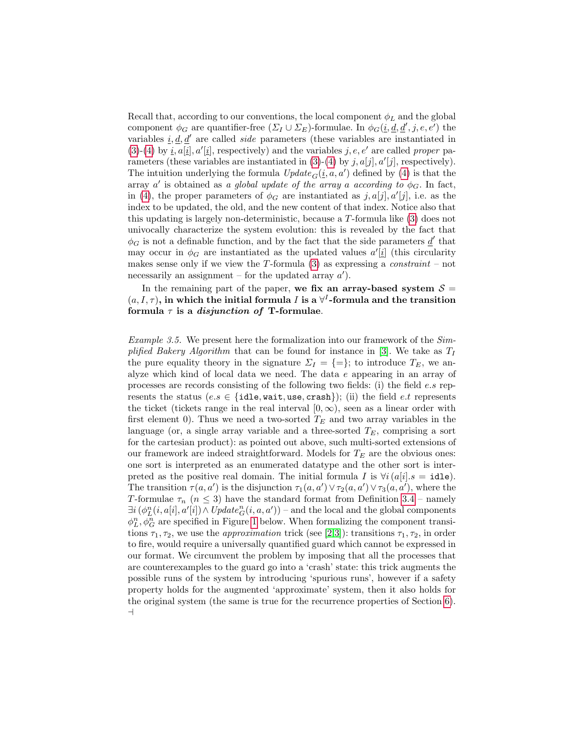Recall that, according to our conventions, the local component  $\phi_L$  and the global component  $\phi_G$  are quantifier-free  $(\Sigma_I \cup \Sigma_E)$ -formulae. In  $\phi_G(\underline{i}, \underline{d}, \underline{d}', j, e, e')$  the variables  $i, d, d'$  are called *side* parameters (these variables are instantiated in  $(3)-(4)$  $(3)-(4)$  $(3)-(4)$  by  $\underline{i}, a[\underline{i}], a'[\underline{i}]$ , respectively) and the variables  $j, e, e'$  are called proper parameters (these variables are instantiated in  $(3)-(4)$  $(3)-(4)$  $(3)-(4)$  by  $j, a[j], a'[j]$ , respectively). The intuition underlying the formula  $Update_G(i, a, a')$  defined by [\(4\)](#page-5-2) is that the array a' is obtained as a global update of the array a according to  $\phi_G$ . In fact, in [\(4\)](#page-5-2), the proper parameters of  $\phi_G$  are instantiated as  $j, a[j], a'[j], i.e.$  as the index to be updated, the old, and the new content of that index. Notice also that this updating is largely non-deterministic, because a T-formula like [\(3\)](#page-5-1) does not univocally characterize the system evolution: this is revealed by the fact that  $\phi_G$  is not a definable function, and by the fact that the side parameters  $\underline{d}'$  that may occur in  $\phi_G$  are instantiated as the updated values  $a'[i]$  (this circularity makes sense only if we view the T-formula  $(3)$  as expressing a *constraint* – not necessarily an assignment – for the updated array  $a'$ ).

In the remaining part of the paper, we fix an array-based system  $S =$  $(a, I, \tau)$ , in which the initial formula I is a  $\forall^{I}$ -formula and the transition formula  $\tau$  is a *disjunction of* T-formulae.

Example 3.5. We present here the formalization into our framework of the Sim-plified Bakery Algorithm that can be found for instance in [\[3\]](#page-15-6). We take as  $T_I$ the pure equality theory in the signature  $\Sigma_I = \{=\};$  to introduce  $T_E$ , we analyze which kind of local data we need. The data e appearing in an array of processes are records consisting of the following two fields: (i) the field e.s represents the status (e.s  $\in$  {idle, wait, use, crash}); (ii) the field e.t represents the ticket (tickets range in the real interval  $[0, \infty)$ , seen as a linear order with first element 0). Thus we need a two-sorted  $T_E$  and two array variables in the language (or, a single array variable and a three-sorted  $T_E$ , comprising a sort for the cartesian product): as pointed out above, such multi-sorted extensions of our framework are indeed straightforward. Models for  $T_E$  are the obvious ones: one sort is interpreted as an enumerated datatype and the other sort is interpreted as the positive real domain. The initial formula I is  $\forall i (a[i], s = \text{idle}).$ The transition  $\tau(a, a')$  is the disjunction  $\tau_1(a, a') \vee \tau_2(a, a') \vee \tau_3(a, a')$ , where the T-formulae  $\tau_n$  ( $n \leq 3$ ) have the standard format from Definition [3.4](#page-5-0) – namely  $\exists i (\phi_L^n(i, a[i], a'[i]) \wedge Update_G^n(i, a, a'))$  – and the local and the global components  $\phi_L^n, \phi_G^n$  are specified in Figure [1](#page-7-1) below. When formalizing the component transitions  $\tau_1, \tau_2$ , we use the *approximation* trick (see [\[2,](#page-15-5)[3\]](#page-15-6)): transitions  $\tau_1, \tau_2$ , in order to fire, would require a universally quantified guard which cannot be expressed in our format. We circumvent the problem by imposing that all the processes that are counterexamples to the guard go into a 'crash' state: this trick augments the possible runs of the system by introducing 'spurious runs', however if a safety property holds for the augmented 'approximate' system, then it also holds for the original system (the same is true for the recurrence properties of Section [6\)](#page-12-0).  $\overline{a}$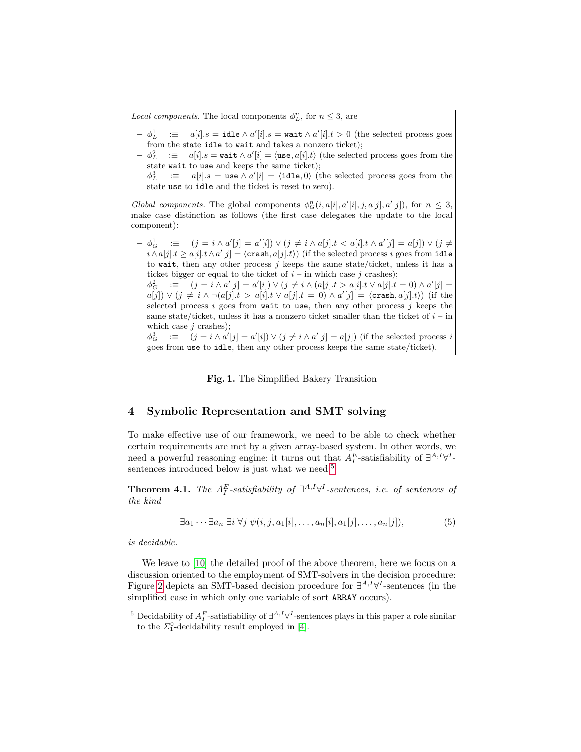*Local components*. The local components  $\phi_L^n$ , for  $n \leq 3$ , are

- $\begin{array}{rcl} \sigma & \equiv & a[i].s = \mathtt{idle} \wedge a'[i].s = \mathtt{wait} \wedge a'[i].t > 0 \mathtt{ } \mathtt{(the \ selected \ process \ goes} \mathtt{)} \end{array}$ from the state idle to wait and takes a nonzero ticket);
- $\begin{array}{rcl} \sigma & \phi_L^2 & := & a[i].s = \texttt{wait} \wedge a'[i] = \langle \texttt{use}, a[i].t \rangle \end{array}$  (the selected process goes from the state wait to use and keeps the same ticket);
- $\begin{array}{rcl} \sigma & \phi_L^3 & := & a[i].s = \texttt{use} \wedge a'[i] = \langle \texttt{idle}, 0 \rangle \end{array}$  (the selected process goes from the state use to idle and the ticket is reset to zero).

Global components. The global components  $\phi_G^n(i, a[i], a'[i], j, a[j], a'[j])$ , for  $n \leq 3$ , make case distinction as follows (the first case delegates the update to the local component):

- $\phi_G^1$   $\equiv (j = i \wedge a'[j] = a'[i]) \vee (j \neq i \wedge a[j].t \wedge a[i].t \wedge a'[j] = a[j]) \vee (j \neq j]$  $i \wedge a[j].t \ge a[i].t \wedge a'[j] = \langle \texttt{crash}, a[j].t \rangle)$  (if the selected process  $i$  goes from idle to wait, then any other process  $j$  keeps the same state/ticket, unless it has a ticket bigger or equal to the ticket of  $i -$  in which case j crashes);
- $\phi_G^2$   $\equiv$   $(j = i \wedge a'[j] = a'[i]) \vee (j \neq i \wedge (a[j].t > a[i].t \vee a[j].t = 0) \wedge a'[j] = 0$  $a[j]) \vee (j \neq i \wedge \neg(a[j].t > a[i].t \vee a[j].t = 0) \wedge a'[j] = \langle \text{crash}, a[j].t \rangle)$  (if the selected process  $i$  goes from wait to use, then any other process  $j$  keeps the same state/ticket, unless it has a nonzero ticket smaller than the ticket of  $i - in$ which case  $j$  crashes);
- $\begin{array}{rcl} \sigma & \equiv & (j = i \wedge a'[j] = a'[i]) \vee (j \neq i \wedge a'[j] = a[j]) \end{array}$  (if the selected process i goes from use to idle, then any other process keeps the same state/ticket).

<span id="page-7-1"></span>Fig. 1. The Simplified Bakery Transition

# <span id="page-7-0"></span>4 Symbolic Representation and SMT solving

To make effective use of our framework, we need to be able to check whether certain requirements are met by a given array-based system. In other words, we need a powerful reasoning engine: it turns out that  $A_I^E$ -satisfiability of  $\exists^{A,I}\forall^{I}$ -sentences introduced below is just what we need.<sup>[5](#page-7-2)</sup>

<span id="page-7-3"></span>**Theorem 4.1.** The  $A_I^E$ -satisfiability of  $\exists^{A,I} \forall^I$ -sentences, i.e. of sentences of the kind

$$
\exists a_1 \cdots \exists a_n \exists \underline{i} \ \forall j \ \psi(\underline{i}, j, a_1[\underline{i}], \ldots, a_n[\underline{i}], a_1[j], \ldots, a_n[j]), \tag{5}
$$

is decidable.

We leave to [\[10\]](#page-15-7) the detailed proof of the above theorem, here we focus on a discussion oriented to the employment of SMT-solvers in the decision procedure: Figure [2](#page-8-0) depicts an SMT-based decision procedure for  $\exists^{A,I}\forall^{I}$ -sentences (in the simplified case in which only one variable of sort ARRAY occurs).

<span id="page-7-2"></span><sup>&</sup>lt;sup>5</sup> Decidability of  $A_I^E$ -satisfiability of  $\exists^{A,I}\forall^I$ -sentences plays in this paper a role similar to the  $\Sigma_1^0$ -decidability result employed in [\[4\]](#page-15-10).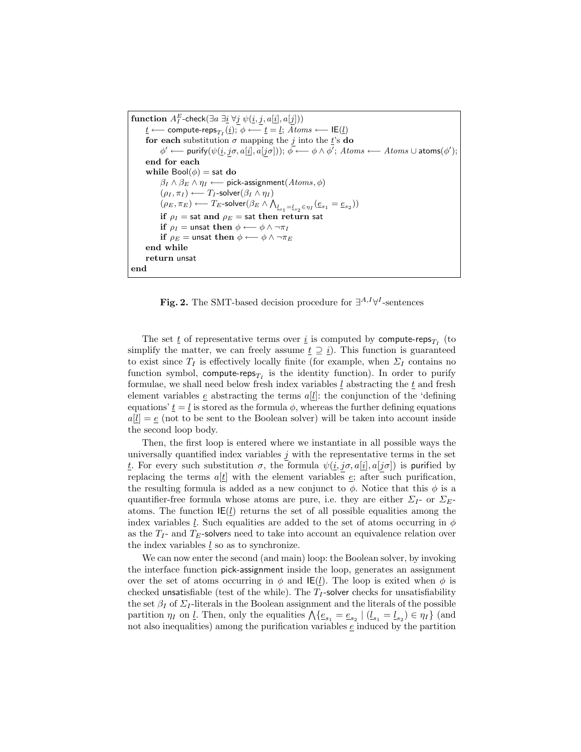function  $A_I^E$ -check $(\exists a\; \exists \underline{i}\; \forall j\; \psi(\underline{i},j,a[\underline{i}],a[j]))$  $\underline{t}$  ←− compute-reps $_{T_I}(\underline{i}); \ \phi \longleftarrow \underline{t} = \underline{l}; \ Atoms \longleftarrow \mathsf{IE}(\underline{l})$ for each substitution  $\sigma$  mapping the *j* into the *t*'s **do**  $\phi' \longleftarrow \mathsf{purity}(\psi(\underline{i}, j \sigma, a[\underline{i}], a[j \sigma])) ; \, \bar{\phi} \longleftarrow \phi \land \phi'; \, Atoms \longleftarrow Atoms \cup \mathsf{atoms}(\phi');$ end for each while  $Bool(\phi) = sat$  do  $\beta_I \wedge \beta_E \wedge \eta_I \longleftarrow$  pick-assignment $(A \text{toms}, \phi)$  $(\rho_I, \pi_I) \longleftarrow T_I$ -solver $(\beta_I \wedge \eta_I)$  $(\rho_E, \pi_E) \longleftarrow T_E\text{-solver}(\beta_E \wedge \bigwedge_{\substack{l_{s_1} = l_{s_2} \in \eta_I}} (\underline{e}_{s_1} = \underline{e}_{s_2}))$ if  $\rho_I$  = sat and  $\rho_E$  = sat then return sat if  $\rho_I =$  unsat then  $\phi \longleftarrow \phi \wedge \neg \pi_I$ if  $\rho_E =$  unsat then  $\phi \longleftarrow \phi \wedge \neg \pi_E$ end while return unsat end

<span id="page-8-0"></span>Fig. 2. The SMT-based decision procedure for  $\exists^{A,I}\forall^{I}$ -sentences

The set  $\underline{t}$  of representative terms over  $\underline{i}$  is computed by compute-reps<sub>T<sub>I</sub></sub> (to simplify the matter, we can freely assume  $\underline{t} \supseteq \underline{i}$ . This function is guaranteed to exist since  $T_I$  is effectively locally finite (for example, when  $\Sigma_I$  contains no function symbol, compute-reps $_{T_I}$  is the identity function). In order to purify formulae, we shall need below fresh index variables  $\underline{l}$  abstracting the  $\underline{t}$  and fresh element variables  $\underline{e}$  abstracting the terms  $a[\underline{l}]$ : the conjunction of the 'defining equations'  $\underline{t} = \underline{l}$  is stored as the formula  $\phi$ , whereas the further defining equations  $a[\underline{l}] = \underline{e}$  (not to be sent to the Boolean solver) will be taken into account inside the second loop body.

Then, the first loop is entered where we instantiate in all possible ways the universally quantified index variables  $j$  with the representative terms in the set t. For every such substitution  $\sigma$ , the formula  $\psi(i, j\sigma, a[i], a[j\sigma])$  is purified by replacing the terms  $a[t]$  with the element variables  $e$ ; after such purification, the resulting formula is added as a new conjunct to  $\phi$ . Notice that this  $\phi$  is a quantifier-free formula whose atoms are pure, i.e. they are either  $\Sigma_I$ - or  $\Sigma_E$ atoms. The function  $\mathsf{IE}(\underline{l})$  returns the set of all possible equalities among the index variables *l*. Such equalities are added to the set of atoms occurring in  $\phi$ as the  $T_I$ - and  $T_E$ -solvers need to take into account an equivalence relation over the index variables  $\underline{l}$  so as to synchronize.

We can now enter the second (and main) loop: the Boolean solver, by invoking the interface function pick-assignment inside the loop, generates an assignment over the set of atoms occurring in  $\phi$  and IE(l). The loop is exited when  $\phi$  is checked unsatisfiable (test of the while). The  $T_I$ -solver checks for unsatisfiability the set  $\beta_I$  of  $\Sigma_I$ -literals in the Boolean assignment and the literals of the possible partition  $\eta_I$  on <u>l</u>. Then, only the equalities  $\bigwedge \{\underline{e}_{s_1} = \underline{e}_{s_2} \mid (\underline{l}_{s_1} = \underline{l}_{s_2}) \in \eta_I\}$  (and not also inequalities) among the purification variables  $\underline{e}$  induced by the partition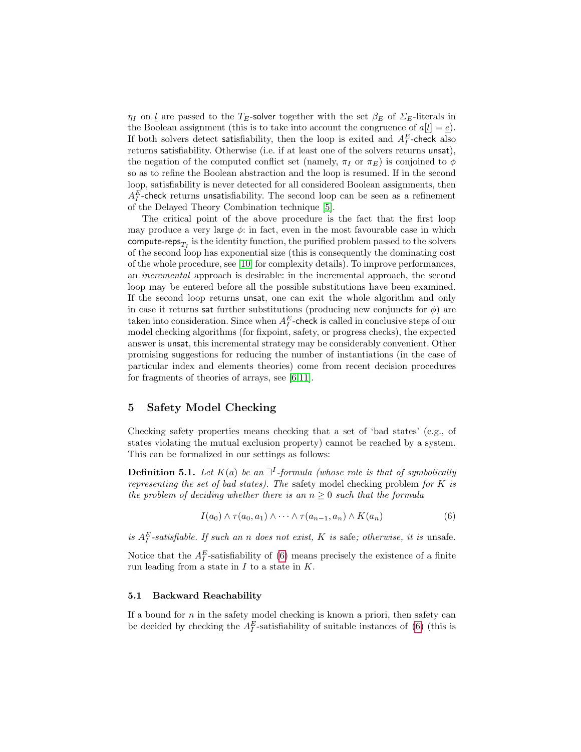$\eta_I$  on <u>l</u> are passed to the T<sub>E</sub>-solver together with the set  $\beta_E$  of  $\Sigma_E$ -literals in the Boolean assignment (this is to take into account the congruence of  $a[\underline{l}] = \underline{e}$ ). If both solvers detect satisfiability, then the loop is exited and  $A_I^E$ -check also returns satisfiability. Otherwise (i.e. if at least one of the solvers returns unsat), the negation of the computed conflict set (namely,  $\pi_I$  or  $\pi_E$ ) is conjoined to  $\phi$ so as to refine the Boolean abstraction and the loop is resumed. If in the second loop, satisfiability is never detected for all considered Boolean assignments, then  $A_I^E$ -check returns unsatisfiability. The second loop can be seen as a refinement of the Delayed Theory Combination technique [\[5\]](#page-15-11).

The critical point of the above procedure is the fact that the first loop may produce a very large  $\phi$ : in fact, even in the most favourable case in which compute-reps $_{T_{I}}$  is the identity function, the purified problem passed to the solvers of the second loop has exponential size (this is consequently the dominating cost of the whole procedure, see [\[10\]](#page-15-7) for complexity details). To improve performances, an incremental approach is desirable: in the incremental approach, the second loop may be entered before all the possible substitutions have been examined. If the second loop returns unsat, one can exit the whole algorithm and only in case it returns sat further substitutions (producing new conjuncts for  $\phi$ ) are taken into consideration. Since when  $A_I^E$ -check is called in conclusive steps of our model checking algorithms (for fixpoint, safety, or progress checks), the expected answer is unsat, this incremental strategy may be considerably convenient. Other promising suggestions for reducing the number of instantiations (in the case of particular index and elements theories) come from recent decision procedures for fragments of theories of arrays, see [\[6,](#page-15-12)[11\]](#page-15-13).

# <span id="page-9-0"></span>5 Safety Model Checking

Checking safety properties means checking that a set of 'bad states' (e.g., of states violating the mutual exclusion property) cannot be reached by a system. This can be formalized in our settings as follows:

**Definition 5.1.** Let  $K(a)$  be an  $\exists^{I}$ -formula (whose role is that of symbolically representing the set of bad states). The safety model checking problem for  $K$  is the problem of deciding whether there is an  $n \geq 0$  such that the formula

<span id="page-9-2"></span><span id="page-9-1"></span>
$$
I(a_0) \wedge \tau(a_0, a_1) \wedge \cdots \wedge \tau(a_{n-1}, a_n) \wedge K(a_n) \tag{6}
$$

is  $A_I^E$ -satisfiable. If such an n does not exist, K is safe; otherwise, it is unsafe.

Notice that the  $A_I^E$ -satisfiability of [\(6\)](#page-9-1) means precisely the existence of a finite run leading from a state in  $I$  to a state in  $K$ .

#### 5.1 Backward Reachability

If a bound for  $n$  in the safety model checking is known a priori, then safety can be decided by checking the  $A_I^E$ -satisfiability of suitable instances of [\(6\)](#page-9-1) (this is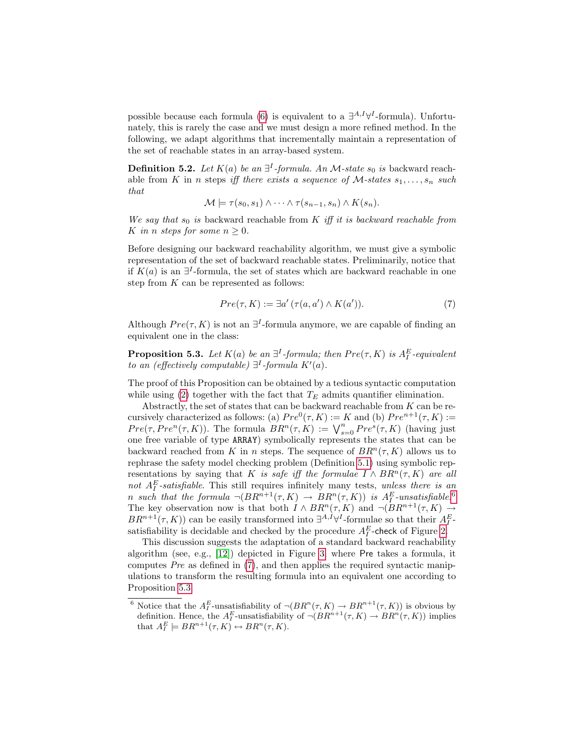possible because each formula [\(6\)](#page-9-1) is equivalent to a  $\exists^{A,I}\forall^{I}$ -formula). Unfortunately, this is rarely the case and we must design a more refined method. In the following, we adapt algorithms that incrementally maintain a representation of the set of reachable states in an array-based system.

**Definition 5.2.** Let  $K(a)$  be an  $\exists^{I}$ -formula. An M-state  $s_0$  is backward reachable from K in n steps iff there exists a sequence of M-states  $s_1, \ldots, s_n$  such that

 $\mathcal{M} \models \tau(s_0, s_1) \wedge \cdots \wedge \tau(s_{n-1}, s_n) \wedge K(s_n).$ 

We say that  $s_0$  is backward reachable from  $K$  iff it is backward reachable from K in n steps for some  $n \geq 0$ .

Before designing our backward reachability algorithm, we must give a symbolic representation of the set of backward reachable states. Preliminarily, notice that if  $K(a)$  is an ∃<sup>*I*</sup>-formula, the set of states which are backward reachable in one step from  $K$  can be represented as follows:

<span id="page-10-2"></span><span id="page-10-1"></span>
$$
Pre(\tau, K) := \exists a' \left( \tau(a, a') \land K(a') \right). \tag{7}
$$

Although  $Pre(\tau, K)$  is not an  $\exists^{I}$ -formula anymore, we are capable of finding an equivalent one in the class:

**Proposition 5.3.** Let  $K(a)$  be an  $\exists^{I}$ -formula; then  $Pre(\tau, K)$  is  $A_I^E$ -equivalent to an (effectively computable)  $\exists^{I}$ -formula  $K'(a)$ .

The proof of this Proposition can be obtained by a tedious syntactic computation while using [\(2\)](#page-5-3) together with the fact that  $T_E$  admits quantifier elimination.

Abstractly, the set of states that can be backward reachable from  $K$  can be recursively characterized as follows: (a)  $Pre^{0}(\tau,K) := K$  and (b)  $Pre^{n+1}(\tau,K) :=$  $Pre(\tau, Pre^n(\tau,K))$ . The formula  $BR^n(\tau, K) := \bigvee_{s=0}^n Pre^s(\tau, K)$  (having just one free variable of type ARRAY) symbolically represents the states that can be backward reached from K in n steps. The sequence of  $BR^n(\tau, K)$  allows us to rephrase the safety model checking problem (Definition [5.1\)](#page-9-2) using symbolic representations by saying that K is safe iff the formulae  $I \wedge BR^n(\tau, K)$  are all not  $A_I^E$ -satisfiable. This still requires infinitely many tests, unless there is an not  $A_I$ -satisfable. This suff requires finally finally tests, antess there is an<br>n such that the formula  $\neg(BR^{n+1}(\tau,K)) \rightarrow BR^n(\tau,K))$  is  $A_I^E$ -unsatisfiable.<sup>[6](#page-10-0)</sup> The key observation now is that both  $I \wedge BR^n(\tau, K)$  and  $\neg(BR^{n+1}(\tau, K) \rightarrow$  $BR^{n+1}(\tau, K)$  can be easily transformed into  $\exists^{A,I}\forall^{I}$ -formulae so that their  $A_I^E$ satisfiability is decidable and checked by the procedure  $A_I^E$ -check of Figure [2.](#page-8-0)

This discussion suggests the adaptation of a standard backward reachability algorithm (see, e.g.,  $[12]$ ) depicted in Figure [3,](#page-11-1) where Pre takes a formula, it computes Pre as defined in [\(7\)](#page-10-1), and then applies the required syntactic manipulations to transform the resulting formula into an equivalent one according to Proposition [5.3.](#page-10-2)

<span id="page-10-3"></span><span id="page-10-0"></span><sup>&</sup>lt;sup>6</sup> Notice that the  $A_I^E$ -unsatisfiability of  $\neg(BR^n(\tau,K)) \to BR^{n+1}(\tau,K)$  is obvious by definition. Hence, the  $A_I^E$ -unsatisfiability of  $\neg(BR^{n+1}(\tau,K)) \to BR^n(\tau,K))$  implies that  $A_I^E \models BR^{n+1}(\tau, K) \leftrightarrow BR^n(\tau, K)$ .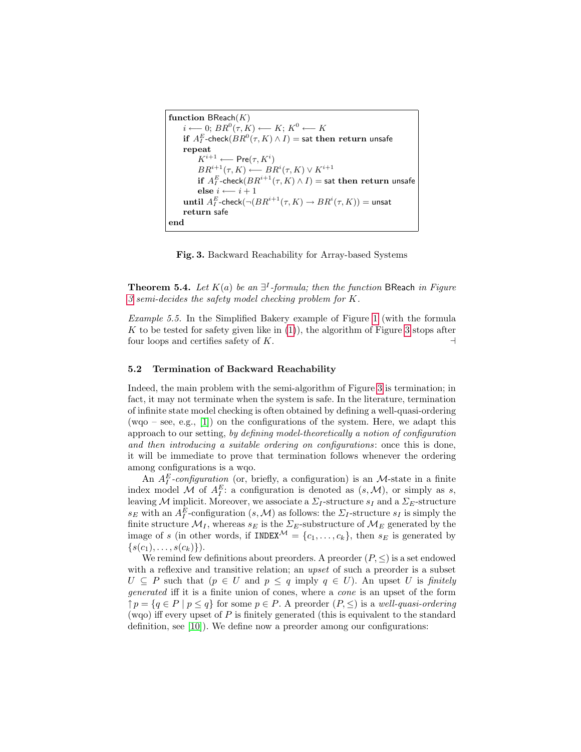```
function BReach(K)i \longleftarrow 0; BR^0(\tau,K) \longleftarrow K; K^0 \longleftarrow K\mathbf{if} \,\, A_{I}^{E}\mathsf{\text{-}check}(BR^0(\tau,K) \wedge I) = sat then \mathbf{return} unsafe
      repeat
             K^{i+1} \longleftarrow \mathsf{Pre}(\tau,K^i)BR^{i+1}(\tau,K) \longleftarrow BR^{i}(\tau,K) \vee K^{i+1}\mathbf{if} \,\, A_I^E\text{-check}(B R^{i+1}(\tau,K)\wedge I) = sat then \mathbf{return} unsafe
            else i \leftarrow i + 1\textbf{until } A_I^E\text{-check}(\neg (BR^{i+1}(\tau,K) \to BR^i(\tau,K)) = \textsf{unsat}return safe
end
```
<span id="page-11-1"></span>Fig. 3. Backward Reachability for Array-based Systems

**Theorem 5.4.** Let  $K(a)$  be an  $\exists$ <sup>T</sup>-formula; then the function BReach in Figure [3](#page-11-1) semi-decides the safety model checking problem for K.

Example 5.5. In the Simplified Bakery example of Figure [1](#page-7-1) (with the formula K to be tested for safety given like in  $(1)$ , the algorithm of Figure [3](#page-11-1) stops after four loops and certifies safety of K.  $\Box$ 

#### <span id="page-11-0"></span>5.2 Termination of Backward Reachability

Indeed, the main problem with the semi-algorithm of Figure [3](#page-11-1) is termination; in fact, it may not terminate when the system is safe. In the literature, termination of infinite state model checking is often obtained by defining a well-quasi-ordering (wqo – see, e.g., [\[1\]](#page-15-3)) on the configurations of the system. Here, we adapt this approach to our setting, by defining model-theoretically a notion of configuration and then introducing a suitable ordering on configurations: once this is done, it will be immediate to prove that termination follows whenever the ordering among configurations is a wqo.

An  $A_I^E$ -configuration (or, briefly, a configuration) is an M-state in a finite index model M of  $A_I^E$ : a configuration is denoted as  $(s, M)$ , or simply as s, leaving M implicit. Moreover, we associate a  $\Sigma_I$ -structure  $s_I$  and a  $\Sigma_E$ -structure  $s_E$  with an  $A_I^E$ -configuration  $(s, \mathcal{M})$  as follows: the  $\Sigma_I$ -structure  $s_I$  is simply the finite structure  $\mathcal{M}_I$ , whereas  $s_E$  is the  $\Sigma_E$ -substructure of  $\mathcal{M}_E$  generated by the image of s (in other words, if INDEX<sup> $M = \{c_1, \ldots, c_k\}$ , then  $s_E$  is generated by</sup>  $\{s(c_1), \ldots, s(c_k)\}\)$ .

We remind few definitions about preorders. A preorder  $(P, \leq)$  is a set endowed with a reflexive and transitive relation; an upset of such a preorder is a subset  $U \subseteq P$  such that  $(p \in U \text{ and } p \leq q \text{ imply } q \in U$ ). An upset U is finitely generated iff it is a finite union of cones, where a cone is an upset of the form  $\uparrow p = \{q \in P \mid p \leq q\}$  for some  $p \in P$ . A preorder  $(P, \leq)$  is a well-quasi-ordering (wqo) iff every upset of  $P$  is finitely generated (this is equivalent to the standard definition, see [\[10\]](#page-15-7)). We define now a preorder among our configurations: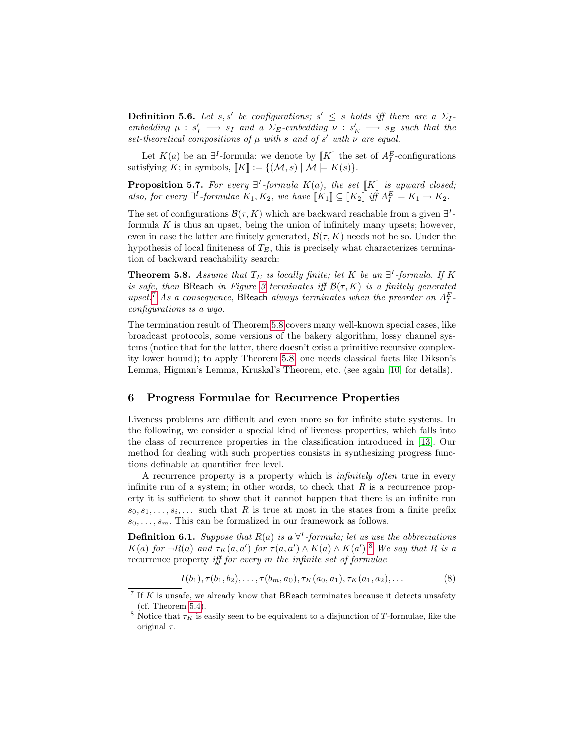**Definition 5.6.** Let s, s' be configurations;  $s' \leq s$  holds iff there are a  $\Sigma_I$ embedding  $\mu : s'_I \longrightarrow s_I$  and a  $\Sigma_E$ -embedding  $\nu : s'_E \longrightarrow s_E$  such that the set-theoretical compositions of  $\mu$  with s and of s' with  $\nu$  are equal.

Let  $K(a)$  be an  $\exists^{I}$ -formula: we denote by [K] the set of  $A_{I}^{E}$ -configurations satisfying K; in symbols,  $[K] := \{(\mathcal{M}, s) | \mathcal{M} \models K(s)\}.$ 

**Proposition 5.7.** For every  $\exists^{I}$ -formula  $K(a)$ , the set  $\llbracket K \rrbracket$  is upward closed; also, for every  $\exists^{I}$ -formulae  $K_1, K_2$ , we have  $[[K_1]] \subseteq [[K_2]]$  iff  $A_I^E \models K_1 \rightarrow K_2$ .

The set of configurations  $\mathcal{B}(\tau, K)$  which are backward reachable from a given  $\exists^{I}$ formula  $K$  is thus an upset, being the union of infinitely many upsets; however, even in case the latter are finitely generated,  $\mathcal{B}(\tau, K)$  needs not be so. Under the hypothesis of local finiteness of  $T_E$ , this is precisely what characterizes termination of backward reachability search:

<span id="page-12-2"></span>**Theorem 5.8.** Assume that  $T_E$  is locally finite; let K be an  $\exists^I$ -formula. If K is safe, then BReach in Figure [3](#page-11-1) terminates iff  $\mathcal{B}(\tau, K)$  is a finitely generated upset.<sup>[7](#page-12-1)</sup> As a consequence, BReach always terminates when the preorder on  $A_I^E$ . configurations is a wqo.

The termination result of Theorem [5.8](#page-12-2) covers many well-known special cases, like broadcast protocols, some versions of the bakery algorithm, lossy channel systems (notice that for the latter, there doesn't exist a primitive recursive complexity lower bound); to apply Theorem [5.8,](#page-12-2) one needs classical facts like Dikson's Lemma, Higman's Lemma, Kruskal's Theorem, etc. (see again [\[10\]](#page-15-7) for details).

#### <span id="page-12-0"></span>6 Progress Formulae for Recurrence Properties

Liveness problems are difficult and even more so for infinite state systems. In the following, we consider a special kind of liveness properties, which falls into the class of recurrence properties in the classification introduced in [\[13\]](#page-15-4). Our method for dealing with such properties consists in synthesizing progress functions definable at quantifier free level.

A recurrence property is a property which is infinitely often true in every infinite run of a system; in other words, to check that  $R$  is a recurrence property it is sufficient to show that it cannot happen that there is an infinite run  $s_0, s_1, \ldots, s_i, \ldots$  such that R is true at most in the states from a finite prefix  $s_0, \ldots, s_m$ . This can be formalized in our framework as follows.

**Definition 6.1.** Suppose that  $R(a)$  is a  $\forall^{I}$ -formula; let us use the abbreviations  $K(a)$  for  $\neg R(a)$  and  $\tau_K(a,a')$  for  $\tau(a,a') \wedge K(a) \wedge K(a')$ .<sup>[8](#page-12-3)</sup> We say that R is a recurrence property iff for every m the infinite set of formulae

<span id="page-12-5"></span><span id="page-12-4"></span>
$$
I(b_1), \tau(b_1, b_2), \ldots, \tau(b_m, a_0), \tau_K(a_0, a_1), \tau_K(a_1, a_2), \ldots
$$
\n(8)

<span id="page-12-1"></span> $7$  If K is unsafe, we already know that BReach terminates because it detects unsafety (cf. Theorem [5.4\)](#page-10-3).

<span id="page-12-3"></span><sup>&</sup>lt;sup>8</sup> Notice that  $\tau_K$  is easily seen to be equivalent to a disjunction of T-formulae, like the original  $\tau$ .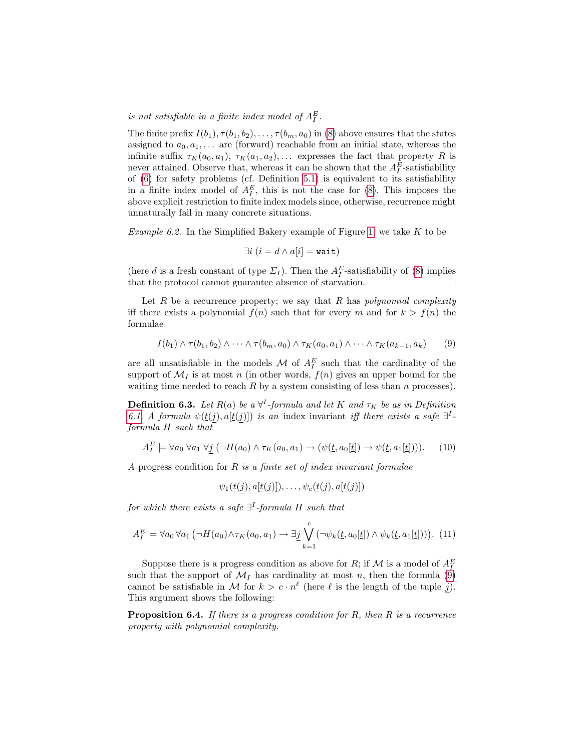is not satisfiable in a finite index model of  $A_I^E$ .

The finite prefix  $I(b_1), \tau(b_1, b_2), \ldots, \tau(b_m, a_0)$  in [\(8\)](#page-12-4) above ensures that the states assigned to  $a_0, a_1, \ldots$  are (forward) reachable from an initial state, whereas the infinite suffix  $\tau_K(a_0, a_1)$ ,  $\tau_K(a_1, a_2)$ ,... expresses the fact that property R is never attained. Observe that, whereas it can be shown that the  $A_I^E$ -satisfiability of [\(6\)](#page-9-1) for safety problems (cf. Definition [5.1\)](#page-9-2) is equivalent to its satisfiability in a finite index model of  $A_I^E$ , this is not the case for [\(8\)](#page-12-4). This imposes the above explicit restriction to finite index models since, otherwise, recurrence might unnaturally fail in many concrete situations.

<span id="page-13-1"></span>*Example 6.2.* In the Simplified Bakery example of Figure [1,](#page-7-1) we take  $K$  to be

$$
\exists i \ (i = d \land a[i] = \mathtt{wait})
$$

(here d is a fresh constant of type  $\Sigma_I$ ). Then the  $A_I^E$ -satisfiability of [\(8\)](#page-12-4) implies that the protocol cannot guarantee absence of starvation.

Let  $R$  be a recurrence property; we say that  $R$  has *polynomial complexity* iff there exists a polynomial  $f(n)$  such that for every m and for  $k > f(n)$  the formulae

<span id="page-13-0"></span>
$$
I(b_1) \wedge \tau(b_1, b_2) \wedge \cdots \wedge \tau(b_m, a_0) \wedge \tau_K(a_0, a_1) \wedge \cdots \wedge \tau_K(a_{k-1}, a_k) \qquad (9)
$$

are all unsatisfiable in the models  $\mathcal M$  of  $A_I^E$  such that the cardinality of the support of  $\mathcal{M}_I$  is at most n (in other words,  $f(n)$  gives an upper bound for the waiting time needed to reach  $R$  by a system consisting of less than  $n$  processes).

<span id="page-13-2"></span>**Definition 6.3.** Let  $R(a)$  be a  $\forall^{I}$ -formula and let K and  $\tau_K$  be as in Definition [6.1.](#page-12-5) A formula  $\psi(\underline{t}(j), a[\underline{t}(j)])$  is an index invariant iff there exists a safe  $\exists^{I}$ formula H such that

<span id="page-13-4"></span>
$$
A_I^E \models \forall a_0 \; \forall a_1 \; \forall \underline{j} \; (\neg H(a_0) \land \tau_K(a_0, a_1) \to (\psi(\underline{t}, a_0[\underline{t}]) \to \psi(\underline{t}, a_1[\underline{t}]))) \tag{10}
$$

A progress condition for  $R$  is a finite set of index invariant formulae

<span id="page-13-3"></span>
$$
\psi_1(\underline{t}(j), a[\underline{t}(j)]), \ldots, \psi_c(\underline{t}(j), a[\underline{t}(j)])
$$

for which there exists a safe  $\exists^{I}$ -formula H such that

<span id="page-13-5"></span>
$$
A_I^E \models \forall a_0 \,\forall a_1 \left(\neg H(a_0) \land \tau_K(a_0, a_1) \rightarrow \exists \underline{j} \bigvee_{k=1}^c (\neg \psi_k(\underline{t}, a_0[\underline{t}]) \land \psi_k(\underline{t}, a_1[\underline{t}]))\right). \tag{11}
$$

Suppose there is a progress condition as above for  $R$ ; if  $\mathcal M$  is a model of  $A_I^E$ such that the support of  $\mathcal{M}_I$  has cardinality at most n, then the formula [\(9\)](#page-13-0) cannot be satisfiable in M for  $k > c \cdot n^{\ell}$  (here  $\ell$  is the length of the tuple j). This argument shows the following:

**Proposition 6.4.** If there is a progress condition for  $R$ , then  $R$  is a recurrence property with polynomial complexity.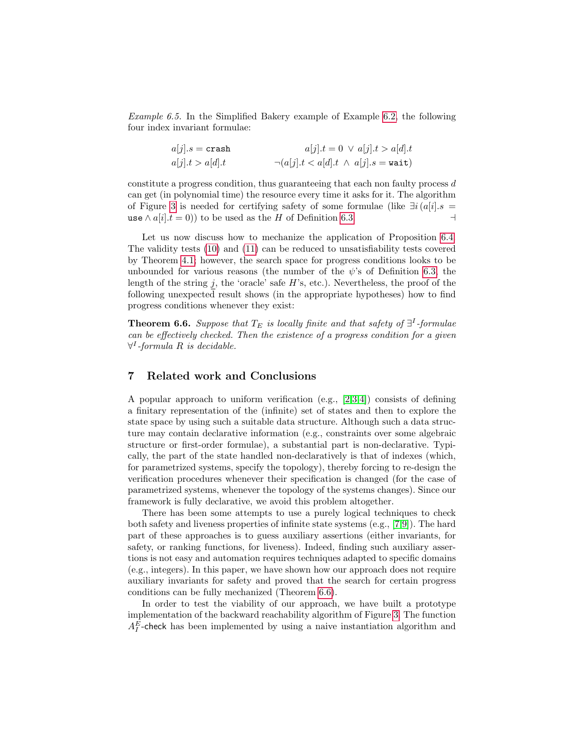Example 6.5. In the Simplified Bakery example of Example [6.2,](#page-13-1) the following four index invariant formulae:

> $a[j].s = \text{crash}$   $a[j].t = 0 \lor a[j].t > a[d].t$  $a[j].t > a[d].t$   $\neg(a[j].t < a[d].t \land a[j].s = \text{wait})$

constitute a progress condition, thus guaranteeing that each non faulty process d can get (in polynomial time) the resource every time it asks for it. The algorithm of Figure [3](#page-11-1) is needed for certifying safety of some formulae (like  $\exists i (a[i].s =$ use  $\wedge a[i].t = 0)$  to be used as the H of Definition [6.3.](#page-13-2)

Let us now discuss how to mechanize the application of Proposition [6.4.](#page-13-3) The validity tests [\(10\)](#page-13-4) and [\(11\)](#page-13-5) can be reduced to unsatisfiability tests covered by Theorem [4.1;](#page-7-3) however, the search space for progress conditions looks to be unbounded for various reasons (the number of the  $\psi$ 's of Definition [6.3,](#page-13-2) the length of the string j, the 'oracle' safe  $H$ 's, etc.). Nevertheless, the proof of the following unexpected result shows (in the appropriate hypotheses) how to find progress conditions whenever they exist:

<span id="page-14-0"></span>**Theorem 6.6.** Suppose that  $T_E$  is locally finite and that safety of  $\exists^I$ -formulae can be effectively checked. Then the existence of a progress condition for a given  $\forall^{I}$ -formula R is decidable.

# 7 Related work and Conclusions

A popular approach to uniform verification (e.g., [\[2,](#page-15-5)[3](#page-15-6)[,4\]](#page-15-10)) consists of defining a finitary representation of the (infinite) set of states and then to explore the state space by using such a suitable data structure. Although such a data structure may contain declarative information (e.g., constraints over some algebraic structure or first-order formulae), a substantial part is non-declarative. Typically, the part of the state handled non-declaratively is that of indexes (which, for parametrized systems, specify the topology), thereby forcing to re-design the verification procedures whenever their specification is changed (for the case of parametrized systems, whenever the topology of the systems changes). Since our framework is fully declarative, we avoid this problem altogether.

There has been some attempts to use a purely logical techniques to check both safety and liveness properties of infinite state systems (e.g., [\[7,](#page-15-14)[9\]](#page-15-15)). The hard part of these approaches is to guess auxiliary assertions (either invariants, for safety, or ranking functions, for liveness). Indeed, finding such auxiliary assertions is not easy and automation requires techniques adapted to specific domains (e.g., integers). In this paper, we have shown how our approach does not require auxiliary invariants for safety and proved that the search for certain progress conditions can be fully mechanized (Theorem [6.6\)](#page-14-0).

In order to test the viability of our approach, we have built a prototype implementation of the backward reachability algorithm of Figure [3.](#page-11-1) The function  $A_I^E$ -check has been implemented by using a naive instantiation algorithm and